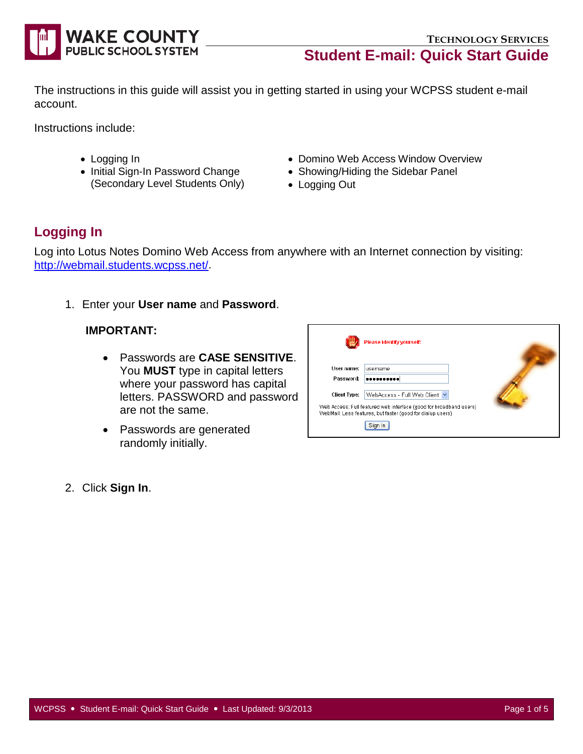

The instructions in this guide will assist you in getting started in using your WCPSS student e-mail account.

Instructions include:

- Logging In
- Initial Sign-In Password Change (Secondary Level Students Only)
- Domino Web Access Window Overview
- Showing/Hiding the Sidebar Panel
- Logging Out

# **Logging In**

Log into Lotus Notes Domino Web Access from anywhere with an Internet connection by visiting: [http://webmail.students.wcpss.net/.](http://webmail.students.wcpss.net/)

1. Enter your **User name** and **Password**.

#### **IMPORTANT:**

- Passwords are **CASE SENSITIVE**. You **MUST** type in capital letters where your password has capital letters. PASSWORD and password are not the same.
- Passwords are generated randomly initially.

|                     | Please identify yourself:                                                                         |  |
|---------------------|---------------------------------------------------------------------------------------------------|--|
| User name:          | username                                                                                          |  |
| Password:           |                                                                                                   |  |
| <b>Client Type:</b> | WebAccess - Full Web Client<br>Web Access: Full featured web interface (good for broadband users) |  |
|                     | WebMail: Less features, but faster (good for dialup users)                                        |  |
|                     |                                                                                                   |  |

2. Click **Sign In**.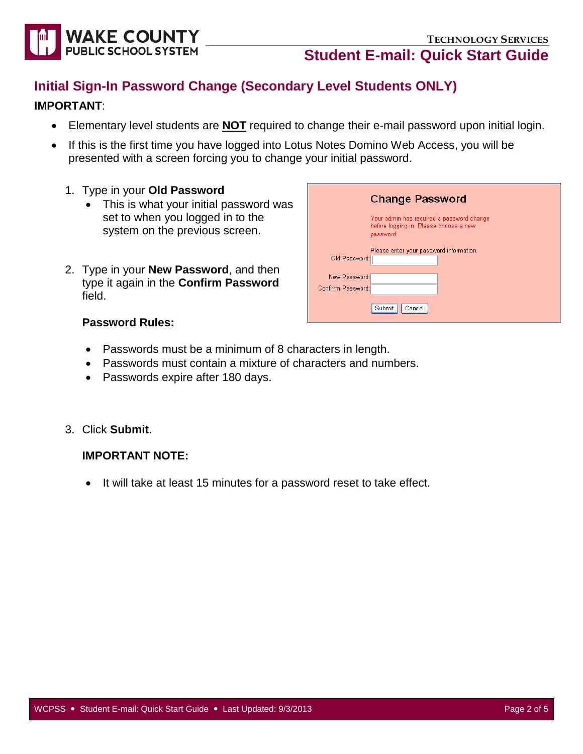



# **Initial Sign-In Password Change (Secondary Level Students ONLY)**

#### **IMPORTANT**:

- Elementary level students are **NOT** required to change their e-mail password upon initial login.
- If this is the first time you have logged into Lotus Notes Domino Web Access, you will be presented with a screen forcing you to change your initial password.
	- 1. Type in your **Old Password**
		- This is what your initial password was set to when you logged in to the system on the previous screen.
	- 2. Type in your **New Password**, and then type it again in the **Confirm Password** field.

|                   | <b>Change Password</b>                                                                           |  |  |  |  |
|-------------------|--------------------------------------------------------------------------------------------------|--|--|--|--|
|                   | Your admin has required a password change<br>before logging in. Please choose a new<br>password. |  |  |  |  |
| Old Password:     | Please enter your password information.                                                          |  |  |  |  |
| New Password:     |                                                                                                  |  |  |  |  |
| Confirm Password: |                                                                                                  |  |  |  |  |
|                   | Submit<br>Cancel                                                                                 |  |  |  |  |

#### **Password Rules:**

- Passwords must be a minimum of 8 characters in length.
- Passwords must contain a mixture of characters and numbers.
- Passwords expire after 180 days.
- 3. Click **Submit**.

#### **IMPORTANT NOTE:**

• It will take at least 15 minutes for a password reset to take effect.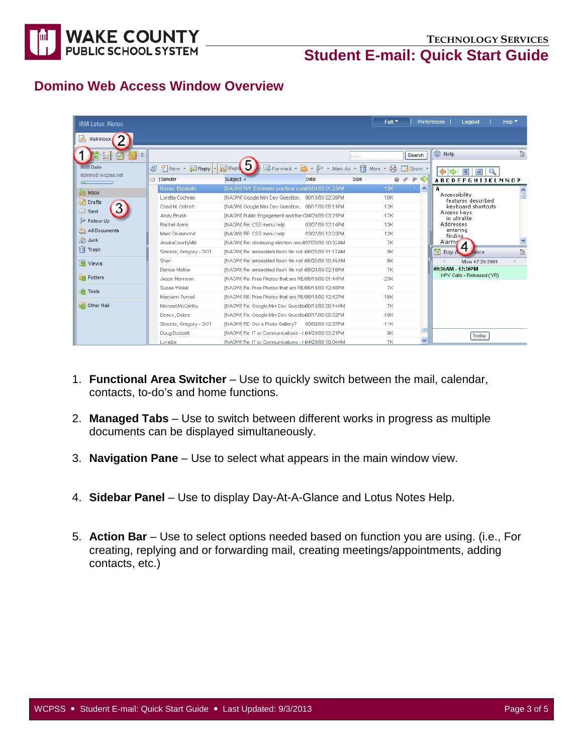

### **Domino Web Access Window Overview**

| <b>IBM.Lotus.iNotes</b>    |                        |                                                       |                  | Full <sup>V</sup>                                              | Preferences<br>Logout<br>Help $\blacktriangledown$ |
|----------------------------|------------------------|-------------------------------------------------------|------------------|----------------------------------------------------------------|----------------------------------------------------|
| ló.<br>Mail-Inbox          |                        |                                                       |                  |                                                                |                                                    |
| 出<br>四<br>ø<br>18          |                        |                                                       |                  | Search<br>Inbox                                                | <b>B</b> Help<br>面                                 |
| <b>Holt Dale</b>           | C<br>New v & Reply v   | <b>Reply</b>                                          |                  | <b>B</b> Forward ▼ ▶ ▼ Mark As ▼ <del>m</del> More ▼ A IShow ▼ | ⇔<br>眉<br>旨                                        |
| domino8.wcpss.net          | <b>⊠ ‼Sender</b>       | Subject 4                                             | Date             | $\circ$ $\circ$ $\triangleright$ $\circ$<br>Size               | <b>ABCDEFGHIJKLMNOP</b>                            |
| a Inbox                    | Rosas, Elizabeth       | [NAGW] FW: Extremely practical com05/04/09 01:23PM    |                  | ∣∧<br><b>13K</b><br>$\rightarrow$                              | А                                                  |
|                            | Loretta Cochran        | INAGVVI Google Mini Dev Question. 06/18/09 02:09PM    |                  | 10K                                                            | Accessibility<br>目<br>features described           |
| Drafts                     | Chad M. Ostroff        | [NAGW] Google Mini Dev Question.  06/17/09 05:11PM    |                  | 12K                                                            | keyboard shortcuts                                 |
| Sent                       | Andy Brush             | INAGWI Public Engagement and the C04/29/09 03:21PM    |                  | <b>17K</b>                                                     | Access keys<br>in ultralite                        |
| $\triangleright$ Follow Up | Rachel Arms            | INAGVVI Re: CSS menu help                             | 03/27/09 12:14PM | <b>13K</b>                                                     | Addresses                                          |
| All Documents              | Marc Drummond          | [NAGVV] RE: CSS menu help                             | 03/27/09 12:02PM | <b>12K</b>                                                     | entering<br>finding                                |
| <b>O</b> Junk              | AnokaCountyMN          | [NAGW] Re: displaying election result07/20/09 10:32AM |                  | <b>7K</b>                                                      | Alarms                                             |
| <sup>n</sup> Trash         | Simonis, Gregory - DOT | INAGWI Re: embedded flash file not £06/25/09 11:17AM  |                  | 8K                                                             | 鬧<br>Day-A<br>面<br>ance                            |
| <b>The Views</b>           | Sher                   | [NAGW] Re: embedded flash file not £06/25/09 10:49AM  |                  | 6K                                                             | Mon 07/20/2009                                     |
|                            | Denise Molina          | [NAGW] Re: embedded flash file not £06/24/09 02:18PM  |                  | 7K                                                             | 09:30AM 12:30PM                                    |
| <b>In</b> Folders          | Jason Morrison         | INAGVVI Re: Free Photos that are REA06/18/09 01:44PM  |                  | 23K                                                            | HPV Calls - Released (YR)                          |
| 10 Tools                   | Susan Wolak            | [NAGW] Re: Free Photos that are REA06/18/09 12:48PM   |                  | <b>7K</b>                                                      |                                                    |
|                            | Maryann Purcell        | [NAGW] RE: Free Photos that are REA06/18/09 12:42PM   |                  | <b>16K</b>                                                     |                                                    |
| <b>Ligh Other Mail</b>     | Michael McCarthy       | [NAGW] Re: Google Mini Dev Questio06/18/09 08:14AM    |                  | <b>7K</b>                                                      |                                                    |
|                            | Deacy, Debra           | [NAGW] Re: Google Mini Dev Questio06/17/09 05:52PM    |                  | <b>18K</b>                                                     |                                                    |
|                            | Simonis, Gregory - DOT | [NAGW] RE: Got a Photo Gallery? 05/08/09 12:37PM      |                  | <b>11K</b>                                                     |                                                    |
|                            | Doug Dossett           | [NAGW] Re: IT or Communications - I 04/29/09 03:21PM  |                  | 8K                                                             | Today                                              |
|                            | Lynette                | INAGWI Re: IT or Communications - I 04/29/09 10:04AM  |                  | $\ddotmark$<br>7K                                              |                                                    |

- 1. **Functional Area Switcher** Use to quickly switch between the mail, calendar, contacts, to-do's and home functions.
- 2. **Managed Tabs** Use to switch between different works in progress as multiple documents can be displayed simultaneously.
- 3. **Navigation Pane** Use to select what appears in the main window view.
- 4. **Sidebar Panel** Use to display Day-At-A-Glance and Lotus Notes Help.
- 5. **Action Bar** Use to select options needed based on function you are using. (i.e., For creating, replying and or forwarding mail, creating meetings/appointments, adding contacts, etc.)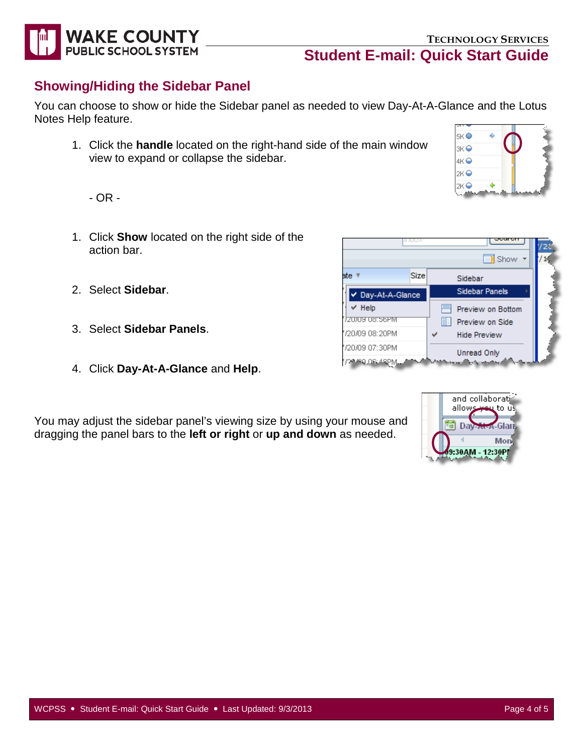

## **Showing/Hiding the Sidebar Panel**

You can choose to show or hide the Sidebar panel as needed to view Day-At-A-Glance and the Lotus Notes Help feature.

1. Click the **handle** located on the right-hand side of the main window view to expand or collapse the sidebar.

- OR -

- 1. Click **Show** located on the right side of the action bar.
- 2. Select **Sidebar**.
- 3. Select **Sidebar Panels**.
- 4. Click **Day-At-A-Glance** and **Help**.

You may adjust the sidebar panel's viewing size by using your mouse and dragging the panel bars to the **left or right** or **up and down** as needed.